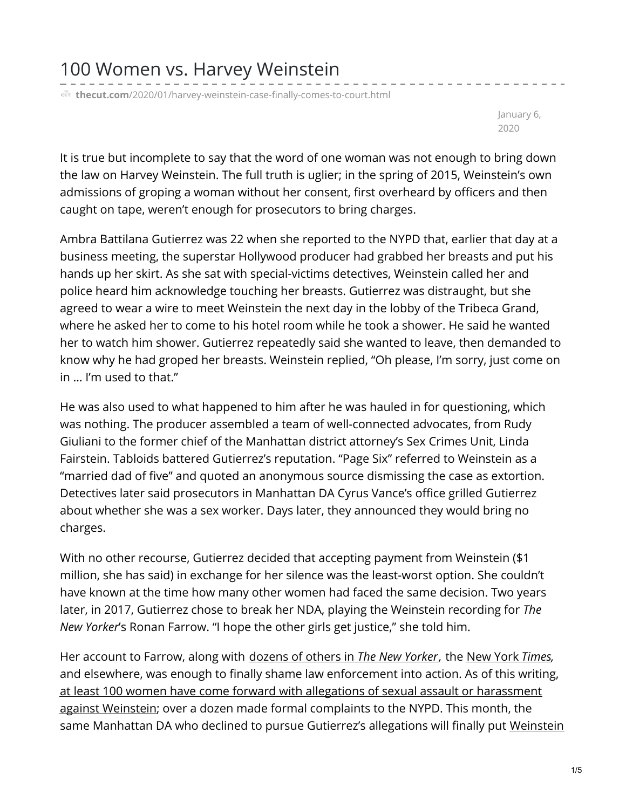**thecut.com**[/2020/01/harvey-weinstein-case-finally-comes-to-court.html](https://www.thecut.com/2020/01/harvey-weinstein-case-finally-comes-to-court.html)

January 6, 2020

It is true but incomplete to say that the word of one woman was not enough to bring down the law on Harvey Weinstein. The full truth is uglier; in the spring of 2015, Weinstein's own admissions of groping a woman without her consent, first overheard by officers and then caught on tape, weren't enough for prosecutors to bring charges.

Ambra Battilana Gutierrez was 22 when she reported to the NYPD that, earlier that day at a business meeting, the superstar Hollywood producer had grabbed her breasts and put his hands up her skirt. As she sat with special-victims detectives, Weinstein called her and police heard him acknowledge touching her breasts. Gutierrez was distraught, but she agreed to wear a wire to meet Weinstein the next day in the lobby of the Tribeca Grand, where he asked her to come to his hotel room while he took a shower. He said he wanted her to watch him shower. Gutierrez repeatedly said she wanted to leave, then demanded to know why he had groped her breasts. Weinstein replied, "Oh please, I'm sorry, just come on in … I'm used to that."

He was also used to what happened to him after he was hauled in for questioning, which was nothing. The producer assembled a team of well-connected advocates, from Rudy Giuliani to the former chief of the Manhattan district attorney's Sex Crimes Unit, Linda Fairstein. Tabloids battered Gutierrez's reputation. "Page Six" referred to Weinstein as a "married dad of five" and quoted an anonymous source dismissing the case as extortion. Detectives later said prosecutors in Manhattan DA Cyrus Vance's office grilled Gutierrez about whether she was a sex worker. Days later, they announced they would bring no charges.

With no other recourse, Gutierrez decided that accepting payment from Weinstein (\$1 million, she has said) in exchange for her silence was the least-worst option. She couldn't have known at the time how many other women had faced the same decision. Two years later, in 2017, Gutierrez chose to break her NDA, playing the Weinstein recording for *The New Yorker*'s Ronan Farrow. "I hope the other girls get justice," she told him.

Her account to Farrow, along with [dozens](https://www.newyorker.com/news/news-desk/from-aggressive-overtures-to-sexual-assault-harvey-weinsteins-accusers-tell-their-stories?verso=true) of others in *The New Yorker,* the New York *[Times](https://www.nytimes.com/2017/10/05/us/harvey-weinstein-harassment-allegations.html),* and elsewhere, was enough to finally shame law enforcement into action. As of this writing, at least 100 women have come forward with allegations of sexual assault or [harassment](https://www.thecut.com/2020/01/harvey-weinstein-complete-list-allegations.html) against Weinstein; over a dozen made formal complaints to the NYPD. This month, the same [Manhattan](https://www.vulture.com/article/harvey-weinstein-trial.html) DA who declined to pursue Gutierrez's allegations will finally put Weinstein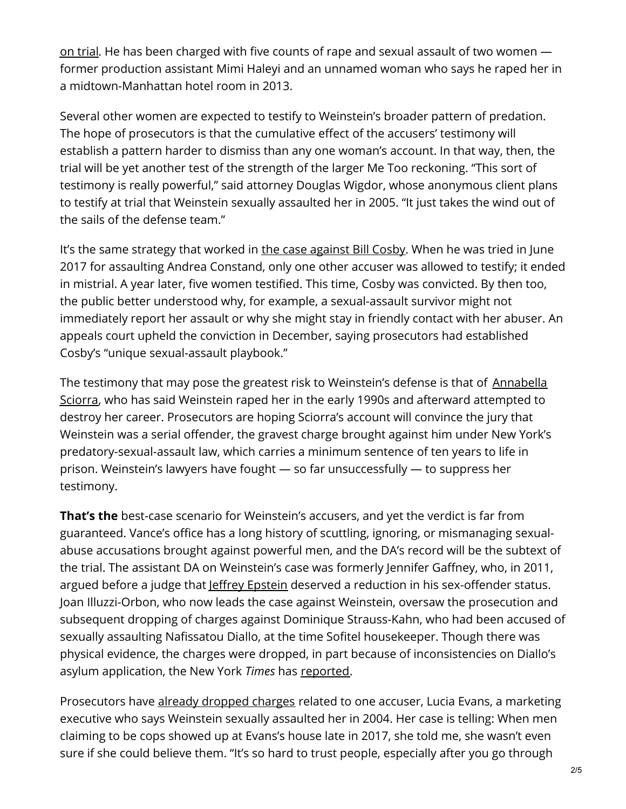on trial. He has been charged with five counts of rape and sexual assault of two women former production assistant Mimi Haleyi and an unnamed woman who says he raped her in a midtown-Manhattan hotel room in 2013.

Several other women are expected to testify to Weinstein's broader pattern of predation. The hope of prosecutors is that the cumulative effect of the accusers' testimony will establish a pattern harder to dismiss than any one woman's account. In that way, then, the trial will be yet another test of the strength of the larger Me Too reckoning. "This sort of testimony is really powerful," said attorney Douglas Wigdor, whose anonymous client plans to testify at trial that Weinstein sexually assaulted her in 2005. "It just takes the wind out of the sails of the defense team."

It's the same strategy that worked in the case [against](https://www.thecut.com/2015/07/bill-cosbys-accusers-speak-out.html) Bill Cosby. When he was tried in June 2017 for assaulting Andrea Constand, only one other accuser was allowed to testify; it ended in mistrial. A year later, five women testified. This time, Cosby was convicted. By then too, the public better understood why, for example, a sexual-assault survivor might not immediately report her assault or why she might stay in friendly contact with her abuser. An appeals court upheld the conviction in December, saying prosecutors had established Cosby's "unique sexual-assault playbook."

The testimony that may pose the greatest risk to [Weinstein's](https://www.vulture.com/2017/10/actress-annabella-sciorra-accuses-harvey-weinstein-of-rape.html) defense is that of Annabella Sciorra, who has said Weinstein raped her in the early 1990s and afterward attempted to destroy her career. Prosecutors are hoping Sciorra's account will convince the jury that Weinstein was a serial offender, the gravest charge brought against him under New York's predatory-sexual-assault law, which carries a minimum sentence of ten years to life in prison. Weinstein's lawyers have fought — so far unsuccessfully — to suppress her testimony.

**That's the** best-case scenario for Weinstein's accusers, and yet the verdict is far from guaranteed. Vance's office has a long history of scuttling, ignoring, or mismanaging sexualabuse accusations brought against powerful men, and the DA's record will be the subtext of the trial. The assistant DA on Weinstein's case was formerly Jennifer Gaffney, who, in 2011, argued before a judge that *Jeffrey [Epstein](https://www.thecut.com/2019/07/jeffrey-epstein-high-society-contacts.html)* deserved a reduction in his sex-offender status. Joan Illuzzi-Orbon, who now leads the case against Weinstein, oversaw the prosecution and subsequent dropping of charges against Dominique Strauss-Kahn, who had been accused of sexually assaulting Nafissatou Diallo, at the time Sofitel housekeeper. Though there was physical evidence, the charges were dropped, in part because of inconsistencies on Diallo's asylum application, the New York *Times* has [reported](https://www.nytimes.com/2011/08/24/nyregion/charges-against-strauss-kahn-dismissed.html).

Prosecutors have already [dropped](https://www.vulture.com/2018/10/harvey-weinstein-trial-one-sexual-assault-count-dismissed.html) charges related to one accuser, Lucia Evans, a marketing executive who says Weinstein sexually assaulted her in 2004. Her case is telling: When men claiming to be cops showed up at Evans's house late in 2017, she told me, she wasn't even sure if she could believe them. "It's so hard to trust people, especially after you go through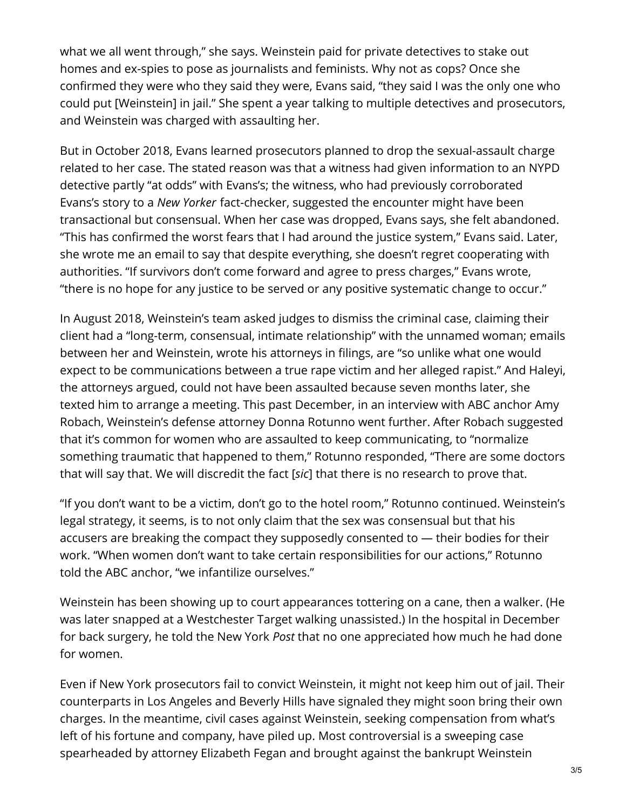what we all went through," she says. Weinstein paid for private detectives to stake out homes and ex-spies to pose as journalists and feminists. Why not as cops? Once she confirmed they were who they said they were, Evans said, "they said I was the only one who could put [Weinstein] in jail." She spent a year talking to multiple detectives and prosecutors, and Weinstein was charged with assaulting her.

But in October 2018, Evans learned prosecutors planned to drop the sexual-assault charge related to her case. The stated reason was that a witness had given information to an NYPD detective partly "at odds" with Evans's; the witness, who had previously corroborated Evans's story to a *New Yorker* fact-checker, suggested the encounter might have been transactional but consensual. When her case was dropped, Evans says, she felt abandoned. "This has confirmed the worst fears that I had around the justice system," Evans said. Later, she wrote me an email to say that despite everything, she doesn't regret cooperating with authorities. "If survivors don't come forward and agree to press charges," Evans wrote, "there is no hope for any justice to be served or any positive systematic change to occur."

In August 2018, Weinstein's team asked judges to dismiss the criminal case, claiming their client had a "long-term, consensual, intimate relationship" with the unnamed woman; emails between her and Weinstein, wrote his attorneys in filings, are "so unlike what one would expect to be communications between a true rape victim and her alleged rapist." And Haleyi, the attorneys argued, could not have been assaulted because seven months later, she texted him to arrange a meeting. This past December, in an interview with ABC anchor Amy Robach, Weinstein's defense attorney Donna Rotunno went further. After Robach suggested that it's common for women who are assaulted to keep communicating, to "normalize something traumatic that happened to them," Rotunno responded, "There are some doctors that will say that. We will discredit the fact [*sic*] that there is no research to prove that.

"If you don't want to be a victim, don't go to the hotel room," Rotunno continued. Weinstein's legal strategy, it seems, is to not only claim that the sex was consensual but that his accusers are breaking the compact they supposedly consented to — their bodies for their work. "When women don't want to take certain responsibilities for our actions," Rotunno told the ABC anchor, "we infantilize ourselves."

Weinstein has been showing up to court appearances tottering on a cane, then a walker. (He was later snapped at a Westchester Target walking unassisted.) In the hospital in December for back surgery, he told the New York *Post* that no one appreciated how much he had done for women.

Even if New York prosecutors fail to convict Weinstein, it might not keep him out of jail. Their counterparts in Los Angeles and Beverly Hills have signaled they might soon bring their own charges. In the meantime, civil cases against Weinstein, seeking compensation from what's left of his fortune and company, have piled up. Most controversial is a sweeping case spearheaded by attorney Elizabeth Fegan and brought against the bankrupt Weinstein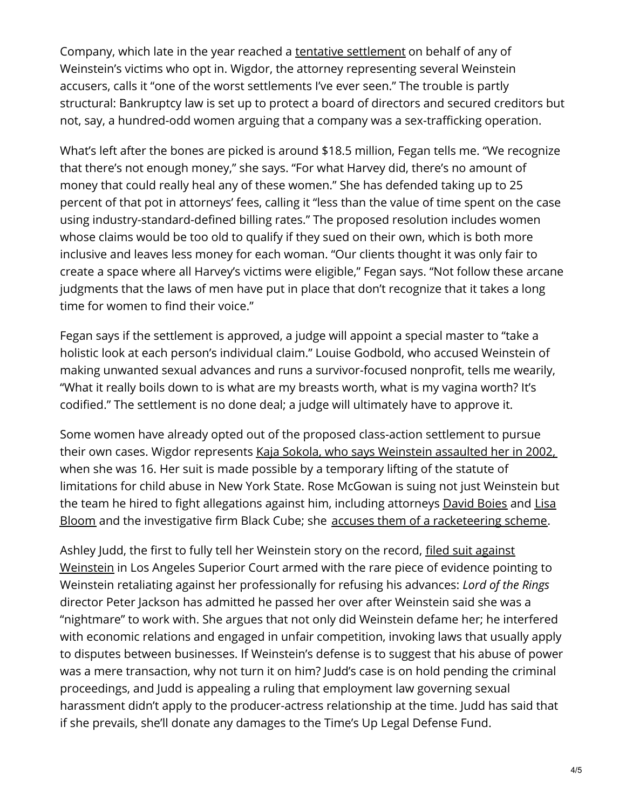Company, which late in the year reached a tentative [settlement](https://www.thecut.com/2019/12/what-the-hell-happened-with-that-weinstein-settlement.html) on behalf of any of Weinstein's victims who opt in. Wigdor, the attorney representing several Weinstein accusers, calls it "one of the worst settlements I've ever seen." The trouble is partly structural: Bankruptcy law is set up to protect a board of directors and secured creditors but not, say, a hundred-odd women arguing that a company was a sex-trafficking operation.

What's left after the bones are picked is around \$18.5 million, Fegan tells me. "We recognize that there's not enough money," she says. "For what Harvey did, there's no amount of money that could really heal any of these women." She has defended taking up to 25 percent of that pot in attorneys' fees, calling it "less than the value of time spent on the case using industry-standard-defined billing rates." The proposed resolution includes women whose claims would be too old to qualify if they sued on their own, which is both more inclusive and leaves less money for each woman. "Our clients thought it was only fair to create a space where all Harvey's victims were eligible," Fegan says. "Not follow these arcane judgments that the laws of men have put in place that don't recognize that it takes a long time for women to find their voice."

Fegan says if the settlement is approved, a judge will appoint a special master to "take a holistic look at each person's individual claim." Louise Godbold, who accused Weinstein of making unwanted sexual advances and runs a survivor-focused nonprofit, tells me wearily, "What it really boils down to is what are my breasts worth, what is my vagina worth? It's codified." The settlement is no done deal; a judge will ultimately have to approve it.

Some women have already opted out of the proposed class-action settlement to pursue their own cases. Wigdor represents Kaja Sokola, who says [Weinstein](https://www.thecut.com/2019/12/harvey-weinstein-assaulted-16-year-old-model-lawsuit-says.html) assaulted her in 2002, when she was 16. Her suit is made possible by a temporary lifting of the statute of limitations for child abuse in New York State. Rose McGowan is suing not just Weinstein but the team he hired to fight allegations against him, including attorneys [David](http://nymag.com/intelligencer/2018/09/david-boies-harvey-weinstein-lawyer.html) Boies and Lisa Bloom and the investigative firm Black Cube; she accuses them of a [racketeering](https://www.vulture.com/2019/10/rose-mcgowan-harvey-weinstein-lawsuit.html) scheme.

Ashley Judd, the first to fully tell her [Weinstein](https://www.thecut.com/2018/04/ashley-judd-suing-weinstein-for-harassment-and-defamation.html) story on the record, filed suit against Weinstein in Los Angeles Superior Court armed with the rare piece of evidence pointing to Weinstein retaliating against her professionally for refusing his advances: *Lord of the Rings* director Peter Jackson has admitted he passed her over after Weinstein said she was a "nightmare" to work with. She argues that not only did Weinstein defame her; he interfered with economic relations and engaged in unfair competition, invoking laws that usually apply to disputes between businesses. If Weinstein's defense is to suggest that his abuse of power was a mere transaction, why not turn it on him? Judd's case is on hold pending the criminal proceedings, and Judd is appealing a ruling that employment law governing sexual harassment didn't apply to the producer-actress relationship at the time. Judd has said that if she prevails, she'll donate any damages to the Time's Up Legal Defense Fund.